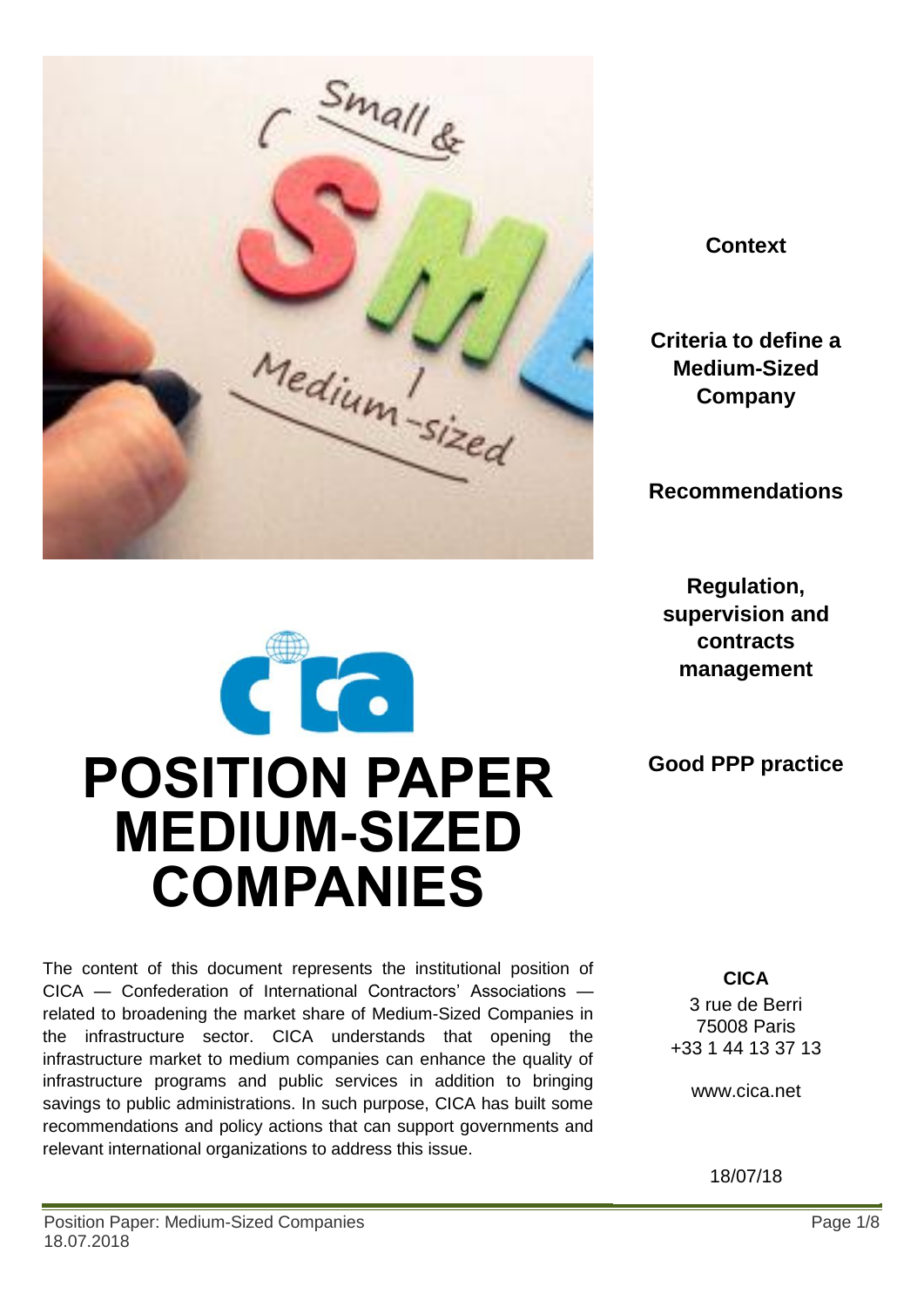

**Context**

**Criteria to define a Medium-Sized Company**

**Recommendations**

**Regulation, supervision and contracts management**

**Good PPP practice**

The content of this document represents the institutional position of CICA — Confederation of International Contractors' Associations related to broadening the market share of Medium-Sized Companies in the infrastructure sector. CICA understands that opening the infrastructure market to medium companies can enhance the quality of infrastructure programs and public services in addition to bringing savings to public administrations. In such purpose, CICA has built some recommendations and policy actions that can support governments and relevant international organizations to address this issue.

**POSITION PAPER** 

CCC

**MEDIUM-SIZED** 

**COMPANIES**

**CICA**

3 rue de Berri 75008 Paris +33 1 44 13 37 13

www.cica.net

18/07/18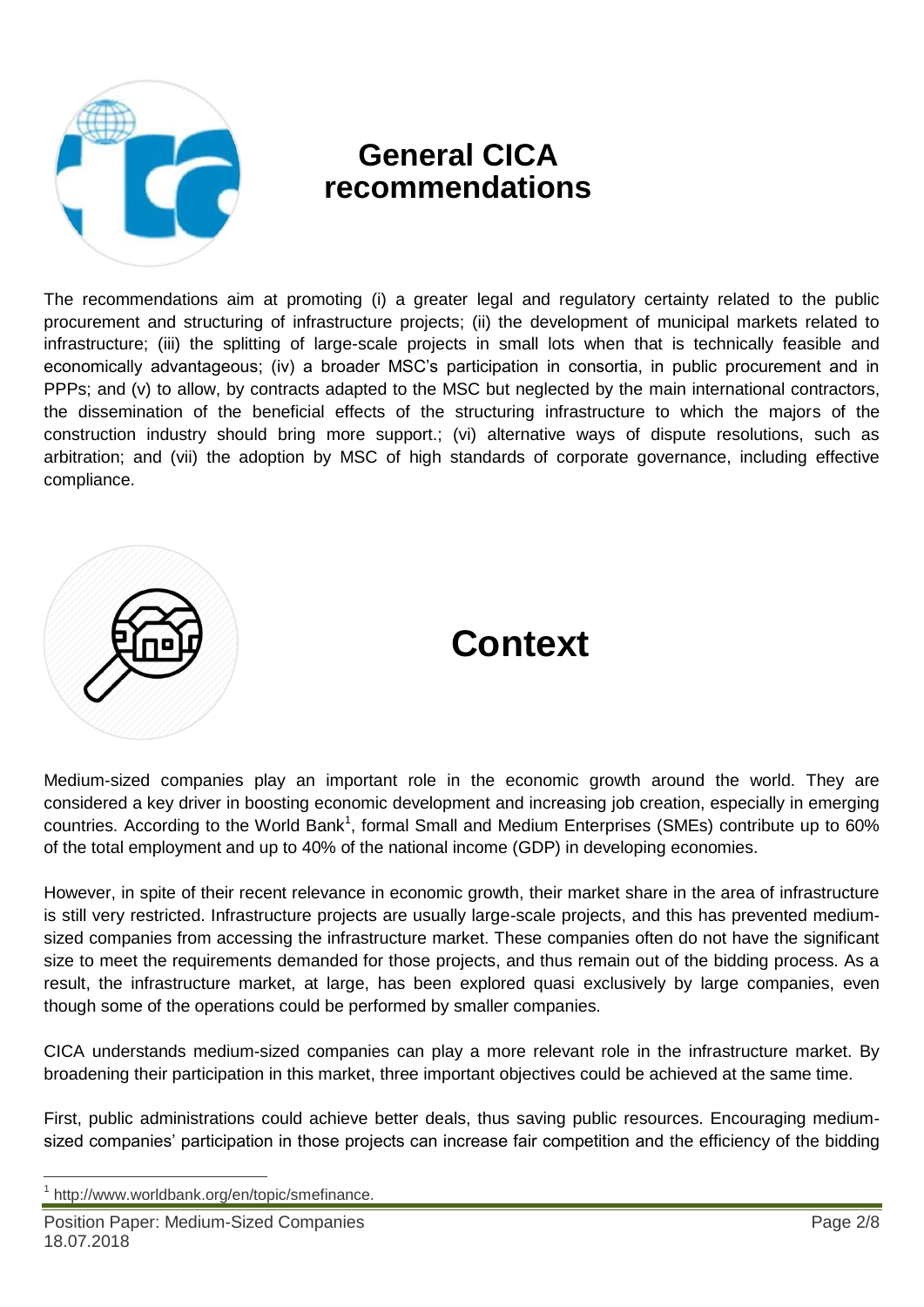

# **General CICA recommendations**

The recommendations aim at promoting (i) a greater legal and regulatory certainty related to the public procurement and structuring of infrastructure projects; (ii) the development of municipal markets related to infrastructure; (iii) the splitting of large-scale projects in small lots when that is technically feasible and economically advantageous; (iv) a broader MSC's participation in consortia, in public procurement and in PPPs; and (v) to allow, by contracts adapted to the MSC but neglected by the main international contractors, the dissemination of the beneficial effects of the structuring infrastructure to which the majors of the construction industry should bring more support.; (vi) alternative ways of dispute resolutions, such as arbitration; and (vii) the adoption by MSC of high standards of corporate governance, including effective compliance.



# **Context**

Medium-sized companies play an important role in the economic growth around the world. They are considered a key driver in boosting economic development and increasing job creation, especially in emerging countries. According to the World Bank<sup>1</sup>, formal Small and Medium Enterprises (SMEs) contribute up to 60% of the total employment and up to 40% of the national income (GDP) in developing economies.

However, in spite of their recent relevance in economic growth, their market share in the area of infrastructure is still very restricted. Infrastructure projects are usually large-scale projects, and this has prevented mediumsized companies from accessing the infrastructure market. These companies often do not have the significant size to meet the requirements demanded for those projects, and thus remain out of the bidding process. As a result, the infrastructure market, at large, has been explored quasi exclusively by large companies, even though some of the operations could be performed by smaller companies.

CICA understands medium-sized companies can play a more relevant role in the infrastructure market. By broadening their participation in this market, three important objectives could be achieved at the same time.

First, public administrations could achieve better deals, thus saving public resources. Encouraging mediumsized companies' participation in those projects can increase fair competition and the efficiency of the bidding

 $\overline{\phantom{a}}$ 

<sup>1</sup> http://www.worldbank.org/en/topic/smefinance.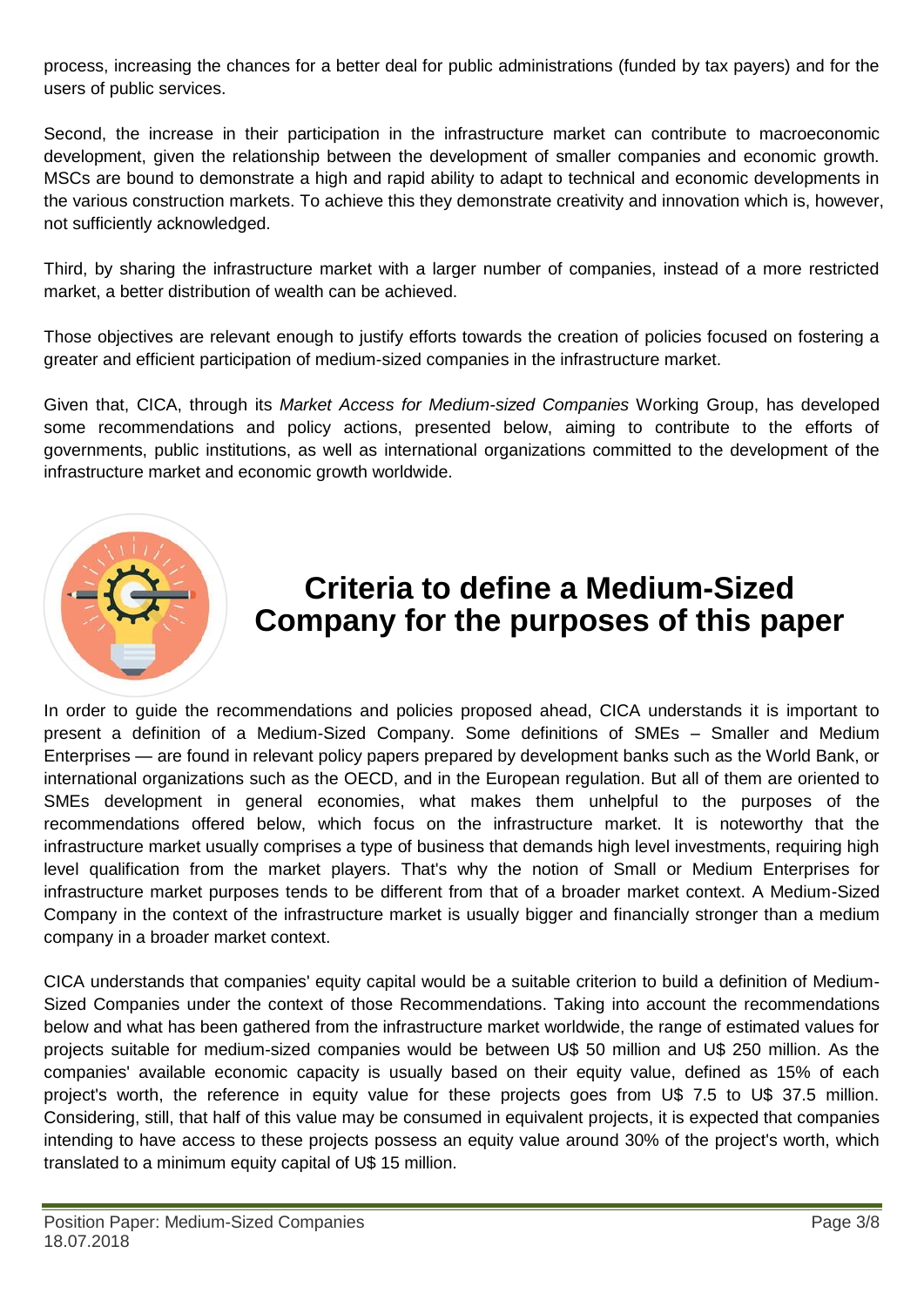process, increasing the chances for a better deal for public administrations (funded by tax payers) and for the users of public services.

Second, the increase in their participation in the infrastructure market can contribute to macroeconomic development, given the relationship between the development of smaller companies and economic growth. MSCs are bound to demonstrate a high and rapid ability to adapt to technical and economic developments in the various construction markets. To achieve this they demonstrate creativity and innovation which is, however, not sufficiently acknowledged.

Third, by sharing the infrastructure market with a larger number of companies, instead of a more restricted market, a better distribution of wealth can be achieved.

Those objectives are relevant enough to justify efforts towards the creation of policies focused on fostering a greater and efficient participation of medium-sized companies in the infrastructure market.

Given that, CICA, through its *Market Access for Medium-sized Companies* Working Group, has developed some recommendations and policy actions, presented below, aiming to contribute to the efforts of governments, public institutions, as well as international organizations committed to the development of the infrastructure market and economic growth worldwide.



# **Criteria to define a Medium-Sized Company for the purposes of this paper**

In order to guide the recommendations and policies proposed ahead, CICA understands it is important to present a definition of a Medium-Sized Company. Some definitions of SMEs – Smaller and Medium Enterprises — are found in relevant policy papers prepared by development banks such as the World Bank, or international organizations such as the OECD, and in the European regulation. But all of them are oriented to SMEs development in general economies, what makes them unhelpful to the purposes of the recommendations offered below, which focus on the infrastructure market. It is noteworthy that the infrastructure market usually comprises a type of business that demands high level investments, requiring high level qualification from the market players. That's why the notion of Small or Medium Enterprises for infrastructure market purposes tends to be different from that of a broader market context. A Medium-Sized Company in the context of the infrastructure market is usually bigger and financially stronger than a medium company in a broader market context.

CICA understands that companies' equity capital would be a suitable criterion to build a definition of Medium-Sized Companies under the context of those Recommendations. Taking into account the recommendations below and what has been gathered from the infrastructure market worldwide, the range of estimated values for projects suitable for medium-sized companies would be between U\$ 50 million and U\$ 250 million. As the companies' available economic capacity is usually based on their equity value, defined as 15% of each project's worth, the reference in equity value for these projects goes from U\$ 7.5 to U\$ 37.5 million. Considering, still, that half of this value may be consumed in equivalent projects, it is expected that companies intending to have access to these projects possess an equity value around 30% of the project's worth, which translated to a minimum equity capital of U\$ 15 million.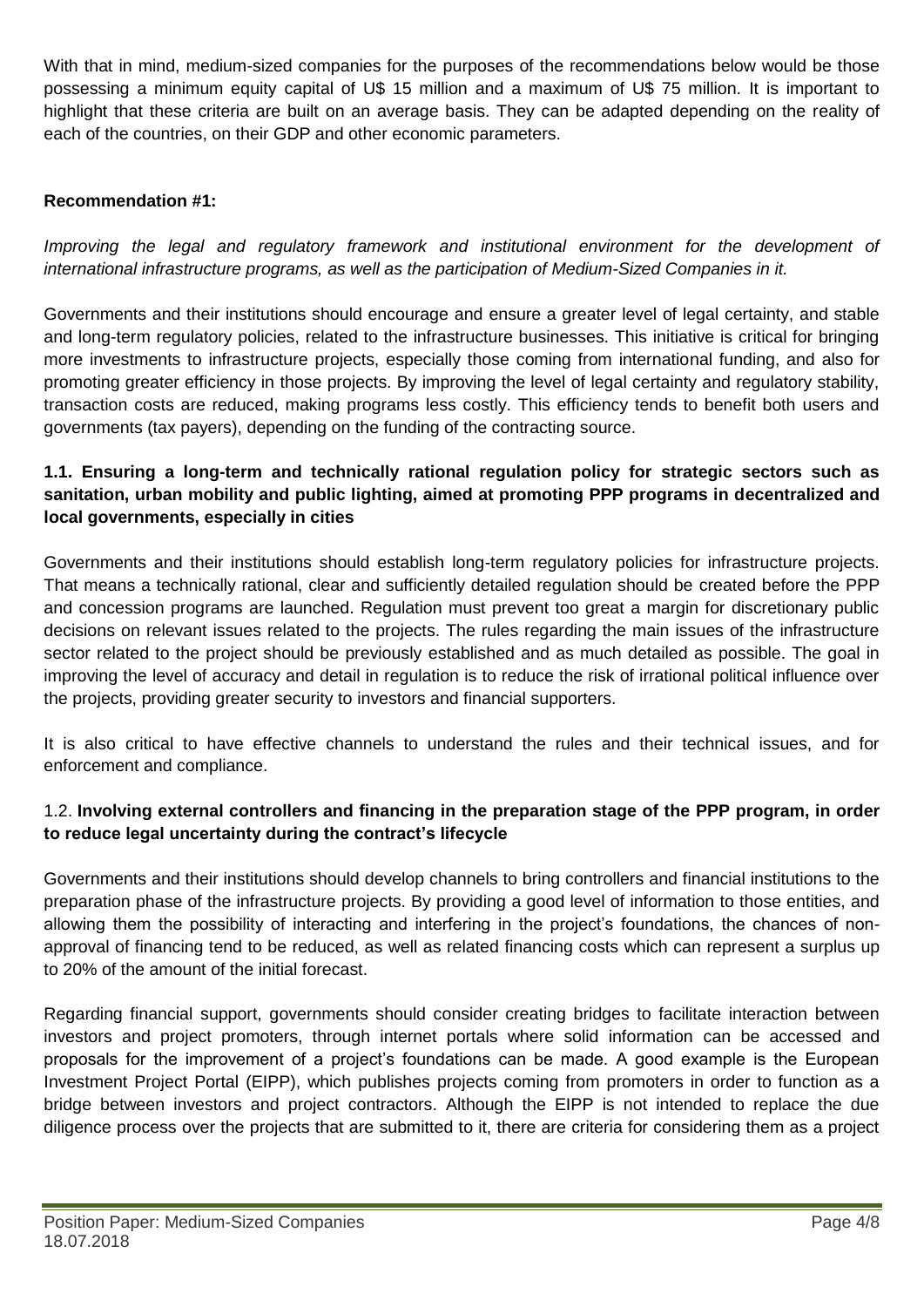With that in mind, medium-sized companies for the purposes of the recommendations below would be those possessing a minimum equity capital of U\$ 15 million and a maximum of U\$ 75 million. It is important to highlight that these criteria are built on an average basis. They can be adapted depending on the reality of each of the countries, on their GDP and other economic parameters.

# **Recommendation #1:**

*Improving the legal and regulatory framework and institutional environment for the development of international infrastructure programs, as well as the participation of Medium-Sized Companies in it.*

Governments and their institutions should encourage and ensure a greater level of legal certainty, and stable and long-term regulatory policies, related to the infrastructure businesses. This initiative is critical for bringing more investments to infrastructure projects, especially those coming from international funding, and also for promoting greater efficiency in those projects. By improving the level of legal certainty and regulatory stability, transaction costs are reduced, making programs less costly. This efficiency tends to benefit both users and governments (tax payers), depending on the funding of the contracting source.

# **1.1. Ensuring a long-term and technically rational regulation policy for strategic sectors such as sanitation, urban mobility and public lighting, aimed at promoting PPP programs in decentralized and local governments, especially in cities**

Governments and their institutions should establish long-term regulatory policies for infrastructure projects. That means a technically rational, clear and sufficiently detailed regulation should be created before the PPP and concession programs are launched. Regulation must prevent too great a margin for discretionary public decisions on relevant issues related to the projects. The rules regarding the main issues of the infrastructure sector related to the project should be previously established and as much detailed as possible. The goal in improving the level of accuracy and detail in regulation is to reduce the risk of irrational political influence over the projects, providing greater security to investors and financial supporters.

It is also critical to have effective channels to understand the rules and their technical issues, and for enforcement and compliance.

# 1.2. **Involving external controllers and financing in the preparation stage of the PPP program, in order to reduce legal uncertainty during the contract's lifecycle**

Governments and their institutions should develop channels to bring controllers and financial institutions to the preparation phase of the infrastructure projects. By providing a good level of information to those entities, and allowing them the possibility of interacting and interfering in the project's foundations, the chances of nonapproval of financing tend to be reduced, as well as related financing costs which can represent a surplus up to 20% of the amount of the initial forecast.

Regarding financial support, governments should consider creating bridges to facilitate interaction between investors and project promoters, through internet portals where solid information can be accessed and proposals for the improvement of a project's foundations can be made. A good example is the European Investment Project Portal (EIPP), which publishes projects coming from promoters in order to function as a bridge between investors and project contractors. Although the EIPP is not intended to replace the due diligence process over the projects that are submitted to it, there are criteria for considering them as a project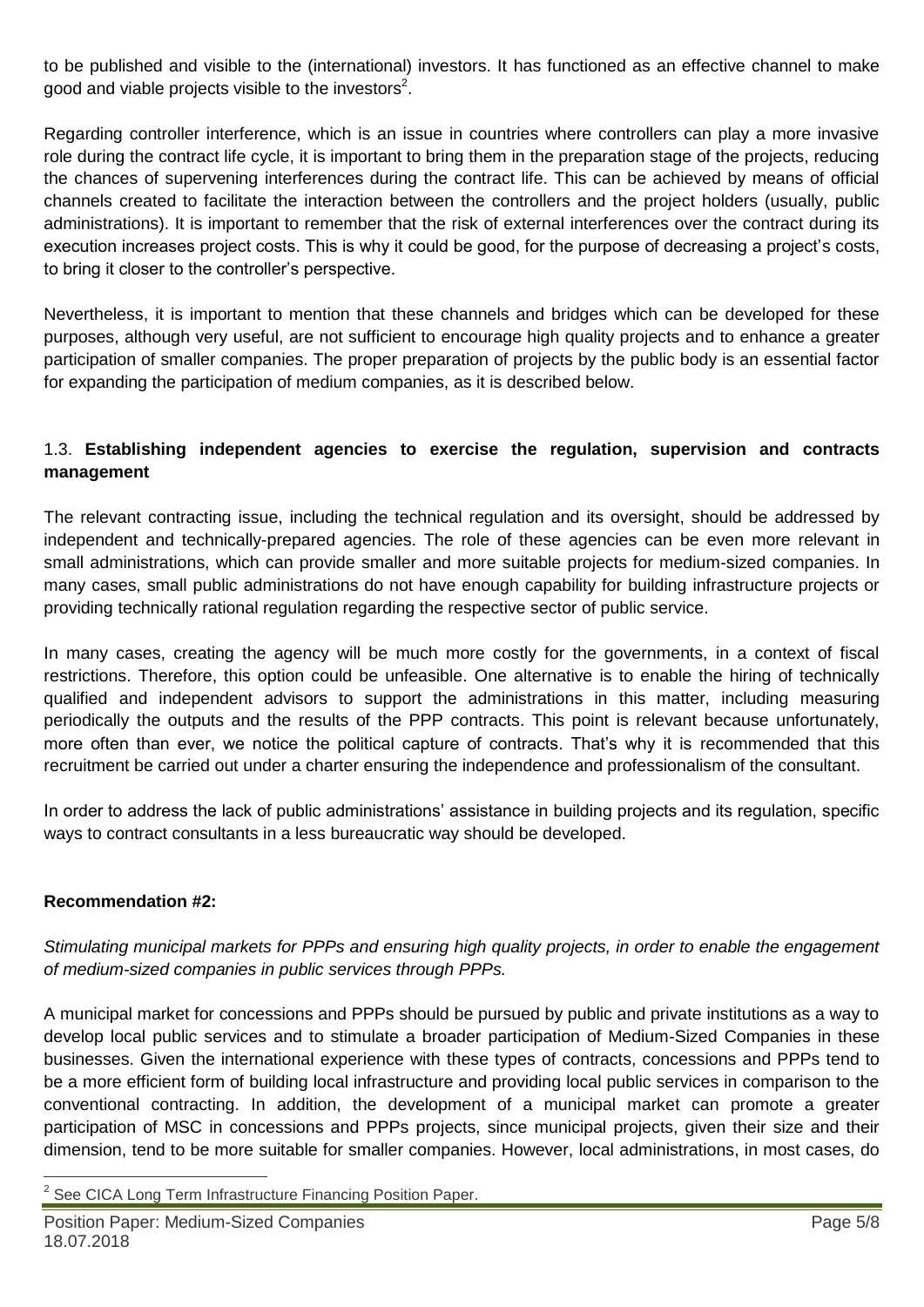to be published and visible to the (international) investors. It has functioned as an effective channel to make good and viable projects visible to the investors<sup>2</sup>.

Regarding controller interference, which is an issue in countries where controllers can play a more invasive role during the contract life cycle, it is important to bring them in the preparation stage of the projects, reducing the chances of supervening interferences during the contract life. This can be achieved by means of official channels created to facilitate the interaction between the controllers and the project holders (usually, public administrations). It is important to remember that the risk of external interferences over the contract during its execution increases project costs. This is why it could be good, for the purpose of decreasing a project's costs, to bring it closer to the controller's perspective.

Nevertheless, it is important to mention that these channels and bridges which can be developed for these purposes, although very useful, are not sufficient to encourage high quality projects and to enhance a greater participation of smaller companies. The proper preparation of projects by the public body is an essential factor for expanding the participation of medium companies, as it is described below.

#### 1.3. **Establishing independent agencies to exercise the regulation, supervision and contracts management**

The relevant contracting issue, including the technical regulation and its oversight, should be addressed by independent and technically-prepared agencies. The role of these agencies can be even more relevant in small administrations, which can provide smaller and more suitable projects for medium-sized companies. In many cases, small public administrations do not have enough capability for building infrastructure projects or providing technically rational regulation regarding the respective sector of public service.

In many cases, creating the agency will be much more costly for the governments, in a context of fiscal restrictions. Therefore, this option could be unfeasible. One alternative is to enable the hiring of technically qualified and independent advisors to support the administrations in this matter, including measuring periodically the outputs and the results of the PPP contracts. This point is relevant because unfortunately, more often than ever, we notice the political capture of contracts. That's why it is recommended that this recruitment be carried out under a charter ensuring the independence and professionalism of the consultant.

In order to address the lack of public administrations' assistance in building projects and its regulation, specific ways to contract consultants in a less bureaucratic way should be developed.

#### **Recommendation #2:**

*Stimulating municipal markets for PPPs and ensuring high quality projects, in order to enable the engagement of medium-sized companies in public services through PPPs.*

A municipal market for concessions and PPPs should be pursued by public and private institutions as a way to develop local public services and to stimulate a broader participation of Medium-Sized Companies in these businesses. Given the international experience with these types of contracts, concessions and PPPs tend to be a more efficient form of building local infrastructure and providing local public services in comparison to the conventional contracting. In addition, the development of a municipal market can promote a greater participation of MSC in concessions and PPPs projects, since municipal projects, given their size and their dimension, tend to be more suitable for smaller companies. However, local administrations, in most cases, do

 2 See CICA Long Term Infrastructure Financing Position Paper.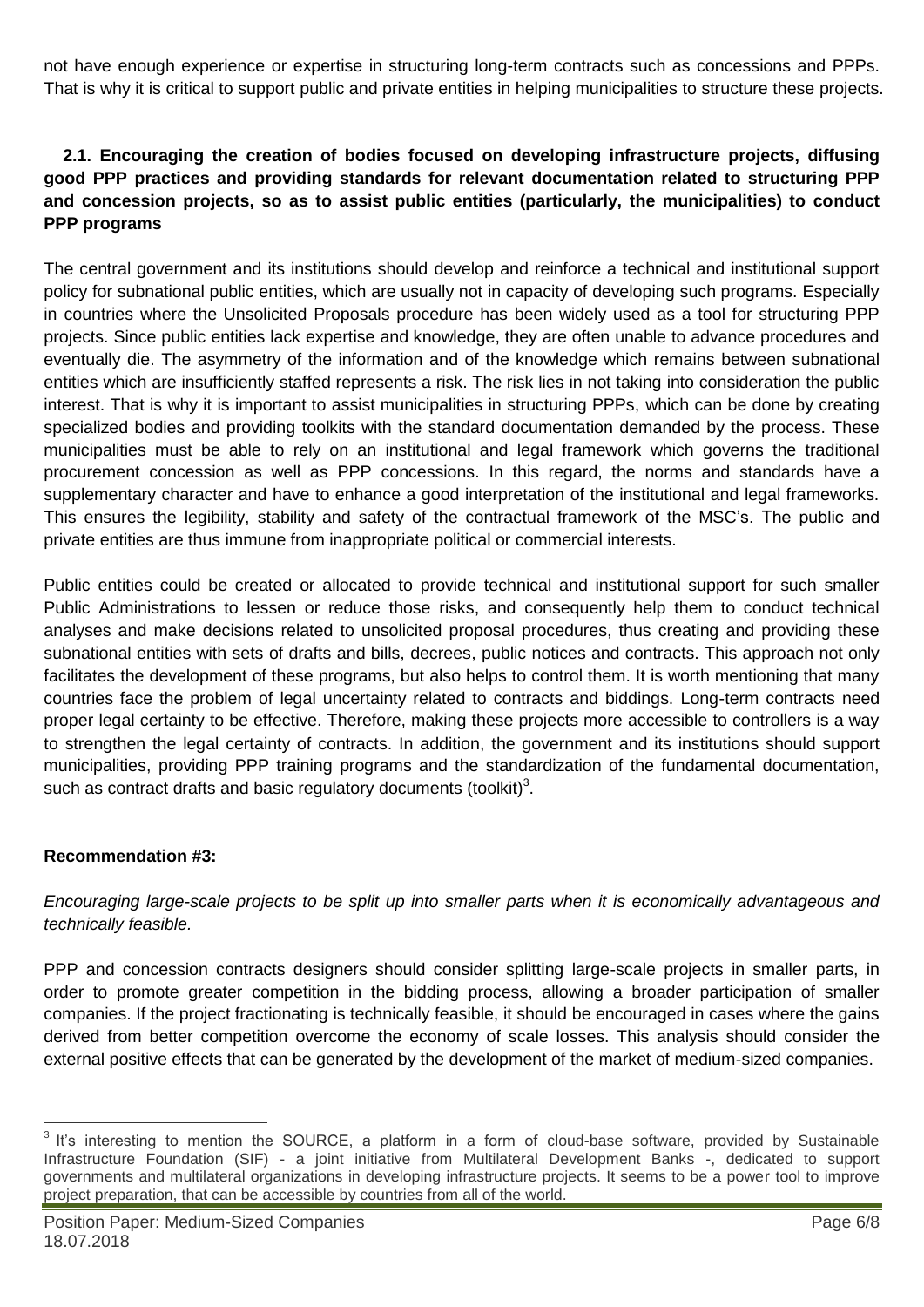not have enough experience or expertise in structuring long-term contracts such as concessions and PPPs. That is why it is critical to support public and private entities in helping municipalities to structure these projects.

# **2.1. Encouraging the creation of bodies focused on developing infrastructure projects, diffusing good PPP practices and providing standards for relevant documentation related to structuring PPP and concession projects, so as to assist public entities (particularly, the municipalities) to conduct PPP programs**

The central government and its institutions should develop and reinforce a technical and institutional support policy for subnational public entities, which are usually not in capacity of developing such programs. Especially in countries where the Unsolicited Proposals procedure has been widely used as a tool for structuring PPP projects. Since public entities lack expertise and knowledge, they are often unable to advance procedures and eventually die. The asymmetry of the information and of the knowledge which remains between subnational entities which are insufficiently staffed represents a risk. The risk lies in not taking into consideration the public interest. That is why it is important to assist municipalities in structuring PPPs, which can be done by creating specialized bodies and providing toolkits with the standard documentation demanded by the process. These municipalities must be able to rely on an institutional and legal framework which governs the traditional procurement concession as well as PPP concessions. In this regard, the norms and standards have a supplementary character and have to enhance a good interpretation of the institutional and legal frameworks. This ensures the legibility, stability and safety of the contractual framework of the MSC's. The public and private entities are thus immune from inappropriate political or commercial interests.

Public entities could be created or allocated to provide technical and institutional support for such smaller Public Administrations to lessen or reduce those risks, and consequently help them to conduct technical analyses and make decisions related to unsolicited proposal procedures, thus creating and providing these subnational entities with sets of drafts and bills, decrees, public notices and contracts. This approach not only facilitates the development of these programs, but also helps to control them. It is worth mentioning that many countries face the problem of legal uncertainty related to contracts and biddings. Long-term contracts need proper legal certainty to be effective. Therefore, making these projects more accessible to controllers is a way to strengthen the legal certainty of contracts. In addition, the government and its institutions should support municipalities, providing PPP training programs and the standardization of the fundamental documentation, such as contract drafts and basic regulatory documents (toolkit)<sup>3</sup>.

#### **Recommendation #3:**

*Encouraging large-scale projects to be split up into smaller parts when it is economically advantageous and technically feasible.* 

PPP and concession contracts designers should consider splitting large-scale projects in smaller parts, in order to promote greater competition in the bidding process, allowing a broader participation of smaller companies. If the project fractionating is technically feasible, it should be encouraged in cases where the gains derived from better competition overcome the economy of scale losses. This analysis should consider the external positive effects that can be generated by the development of the market of medium-sized companies.

The state of the control of the SOURCE, a platform in a form of cloud-base software, provided by Sustainable<br>A It's interesting to mention the SOURCE, a platform in a form of cloud-base software, provided by Sustainable Infrastructure Foundation (SIF) - a joint initiative from Multilateral Development Banks -, dedicated to support governments and multilateral organizations in developing infrastructure projects. It seems to be a power tool to improve project preparation, that can be accessible by countries from all of the world.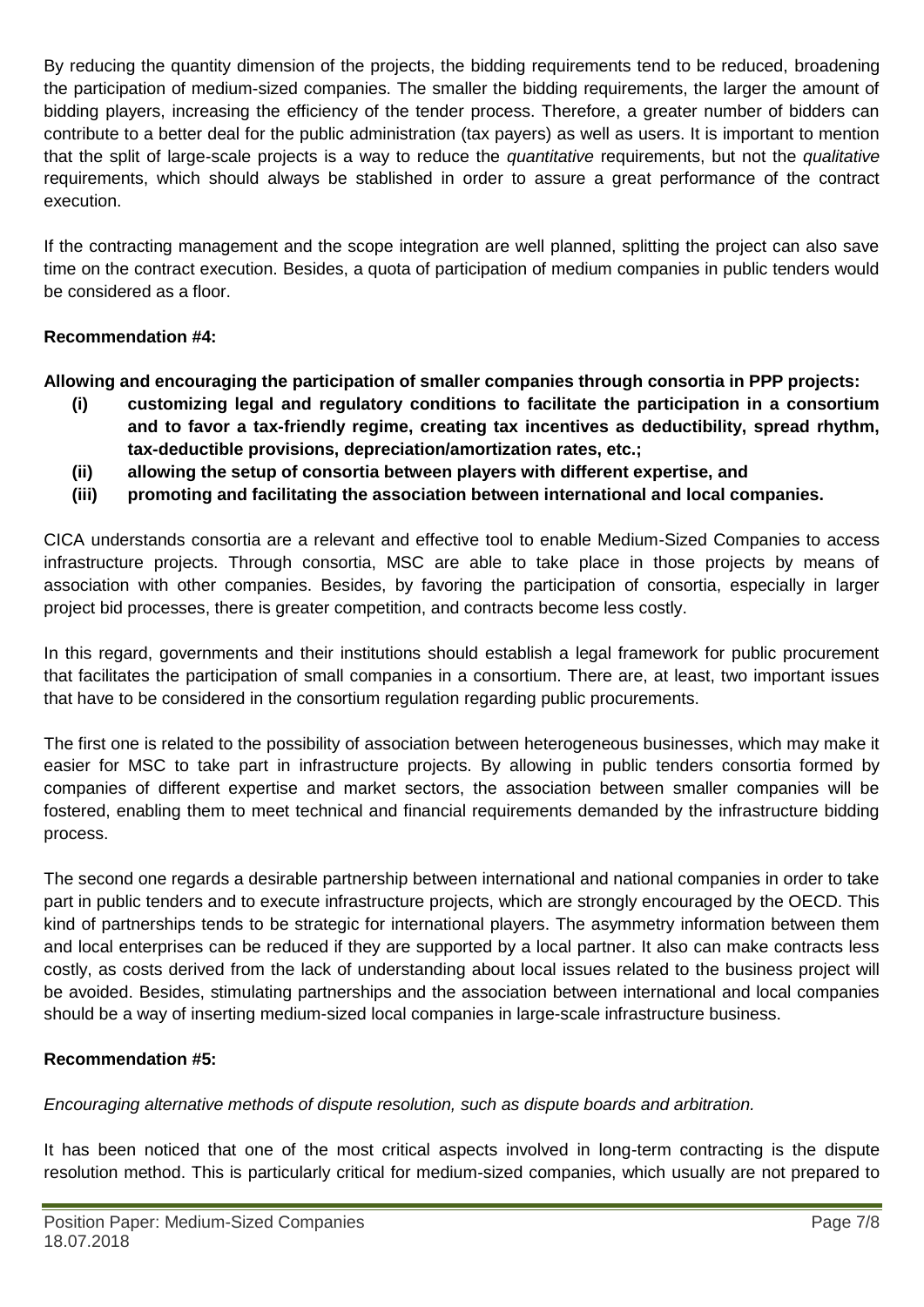By reducing the quantity dimension of the projects, the bidding requirements tend to be reduced, broadening the participation of medium-sized companies. The smaller the bidding requirements, the larger the amount of bidding players, increasing the efficiency of the tender process. Therefore, a greater number of bidders can contribute to a better deal for the public administration (tax payers) as well as users. It is important to mention that the split of large-scale projects is a way to reduce the *quantitative* requirements, but not the *qualitative* requirements, which should always be stablished in order to assure a great performance of the contract execution.

If the contracting management and the scope integration are well planned, splitting the project can also save time on the contract execution. Besides, a quota of participation of medium companies in public tenders would be considered as a floor.

# **Recommendation #4:**

**Allowing and encouraging the participation of smaller companies through consortia in PPP projects:**

- **(i) customizing legal and regulatory conditions to facilitate the participation in a consortium and to favor a tax-friendly regime, creating tax incentives as deductibility, spread rhythm, tax-deductible provisions, depreciation/amortization rates, etc.;**
- **(ii) allowing the setup of consortia between players with different expertise, and**
- **(iii) promoting and facilitating the association between international and local companies.**

CICA understands consortia are a relevant and effective tool to enable Medium-Sized Companies to access infrastructure projects. Through consortia, MSC are able to take place in those projects by means of association with other companies. Besides, by favoring the participation of consortia, especially in larger project bid processes, there is greater competition, and contracts become less costly.

In this regard, governments and their institutions should establish a legal framework for public procurement that facilitates the participation of small companies in a consortium. There are, at least, two important issues that have to be considered in the consortium regulation regarding public procurements.

The first one is related to the possibility of association between heterogeneous businesses, which may make it easier for MSC to take part in infrastructure projects. By allowing in public tenders consortia formed by companies of different expertise and market sectors, the association between smaller companies will be fostered, enabling them to meet technical and financial requirements demanded by the infrastructure bidding process.

The second one regards a desirable partnership between international and national companies in order to take part in public tenders and to execute infrastructure projects, which are strongly encouraged by the OECD. This kind of partnerships tends to be strategic for international players. The asymmetry information between them and local enterprises can be reduced if they are supported by a local partner. It also can make contracts less costly, as costs derived from the lack of understanding about local issues related to the business project will be avoided. Besides, stimulating partnerships and the association between international and local companies should be a way of inserting medium-sized local companies in large-scale infrastructure business.

# **Recommendation #5:**

*Encouraging alternative methods of dispute resolution, such as dispute boards and arbitration.*

It has been noticed that one of the most critical aspects involved in long-term contracting is the dispute resolution method. This is particularly critical for medium-sized companies, which usually are not prepared to